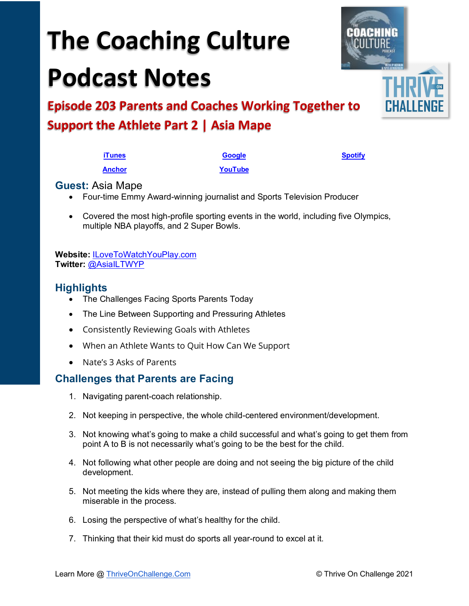# **The Coaching Culture Podcast Notes**

**Episode 203 Parents and Coaches Working Together to Support the Athlete Part 2 | Asia Mape**

- Four-time Emmy Award-winning journalist and Sports Television Producer
- Covered the most high-profile sporting events in the world, including five Olympics, multiple NBA playoffs, and 2 Super Bowls.

**Website:** [ILoveToWatchYouPlay.com](http://www.ilovetowatchyouplay.com/)  **Twitter:** [@AsiaILTWYP](https://twitter.com/asiailtwyp) 

#### **Highlights**

- The Challenges Facing Sports Parents Today
- The Line Between Supporting and Pressuring Athletes
- Consistently Reviewing Goals with Athletes
- When an Athlete Wants to Quit How Can We Support
- Nate's 3 Asks of Parents

#### **Challenges that Parents are Facing**

- 1. Navigating parent-coach relationship.
- 2. Not keeping in perspective, the whole child-centered environment/development.
- 3. Not knowing what's going to make a child successful and what's going to get them from point A to B is not necessarily what's going to be the best for the child.
- 4. Not following what other people are doing and not seeing the big picture of the child development.
- 5. Not meeting the kids where they are, instead of pulling them along and making them miserable in the process.
- 6. Losing the perspective of what's healthy for the child.
- 7. Thinking that their kid must do sports all year-round to excel at it.



**[iTunes](https://tinyurl.com/y68cvd4x) [Google](https://tinyurl.com/xhduf9bw) [Spotify](https://tinyurl.com/3sf9cp5h) [Anchor](https://tinyurl.com/4yhexz6d) [YouTube](https://www.youtube.com/channel/UC3vIljCBzwHcPyVIx9kiHvw)**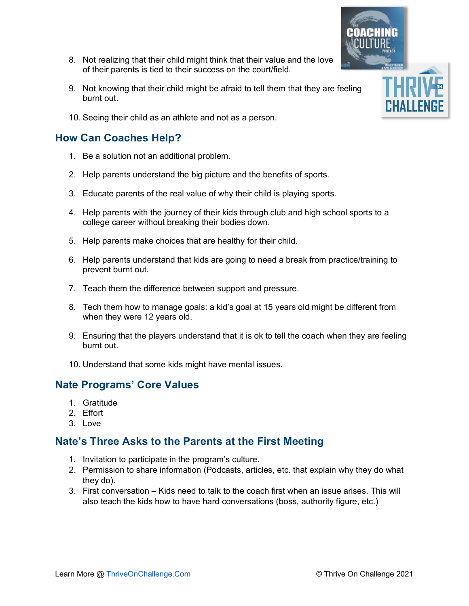Learn More @ [ThriveOnChallenge.Com](https://thriveonchallenge.com/) © Thrive On Challenge 2021

- 8. Not realizing that their child might think that their value and the love of their parents is tied to their success on the court/field.
- 9. Not knowing that their child might be afraid to tell them that they are feeling burnt out.
- 10. Seeing their child as an athlete and not as a person.

## **How Can Coaches Help?**

- 1. Be a solution not an additional problem.
- 2. Help parents understand the big picture and the benefits of sports.
- 3. Educate parents of the real value of why their child is playing sports.
- 4. Help parents with the journey of their kids through club and high school sports to a college career without breaking their bodies down.
- 5. Help parents make choices that are healthy for their child.
- 6. Help parents understand that kids are going to need a break from practice/training to prevent burnt out.
- 7. Teach them the difference between support and pressure.
- 8. Tech them how to manage goals: a kid's goal at 15 years old might be different from when they were 12 years old.
- 9. Ensuring that the players understand that it is ok to tell the coach when they are feeling burnt out.
- 10. Understand that some kids might have mental issues.

### **Nate Programs' Core Values**

- 1. Gratitude
- 2. Effort
- 3. Love

#### **Nate's Three Asks to the Parents at the First Meeting**

- 1. Invitation to participate in the program's culture.
- 2. Permission to share information (Podcasts, articles, etc. that explain why they do what they do).
- 3. First conversation Kids need to talk to the coach first when an issue arises. This will also teach the kids how to have hard conversations (boss, authority figure, etc.)